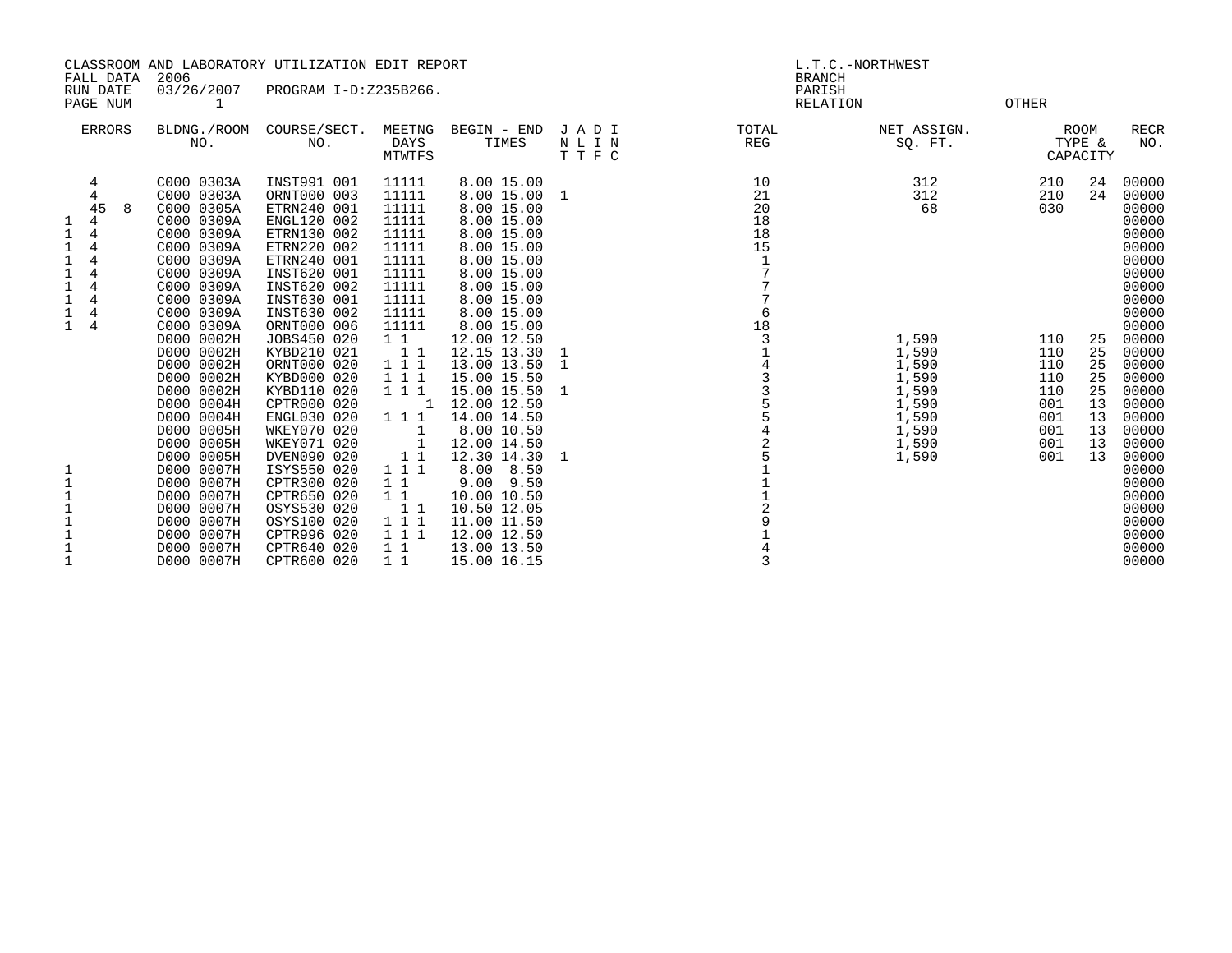| CLASSROOM AND LABORATORY UTILIZATION EDIT REPORT               |                                       |           |                                                                                                                                                                                                                                            |                                                                                                                                                                                                                                                             |                                                                                                                                                      | L.T.C.-NORTHWEST                                                                                                                                                                                                                                  |                         |                                                  |                                                               |                                                      |                                        |                                                                                                                                                       |
|----------------------------------------------------------------|---------------------------------------|-----------|--------------------------------------------------------------------------------------------------------------------------------------------------------------------------------------------------------------------------------------------|-------------------------------------------------------------------------------------------------------------------------------------------------------------------------------------------------------------------------------------------------------------|------------------------------------------------------------------------------------------------------------------------------------------------------|---------------------------------------------------------------------------------------------------------------------------------------------------------------------------------------------------------------------------------------------------|-------------------------|--------------------------------------------------|---------------------------------------------------------------|------------------------------------------------------|----------------------------------------|-------------------------------------------------------------------------------------------------------------------------------------------------------|
|                                                                | RUN DATE<br>PAGE NUM                  | FALL DATA | 2006<br>03/26/2007<br>1                                                                                                                                                                                                                    | PROGRAM I-D:Z235B266.                                                                                                                                                                                                                                       |                                                                                                                                                      |                                                                                                                                                                                                                                                   |                         | <b>BRANCH</b><br>PARISH<br><b>RELATION</b>       |                                                               | <b>OTHER</b>                                         |                                        |                                                                                                                                                       |
|                                                                | <b>ERRORS</b>                         |           | BLDNG./ROOM<br>NO.                                                                                                                                                                                                                         | COURSE/SECT.<br>NO.                                                                                                                                                                                                                                         | MEETNG<br>DAYS<br><b>MTWTFS</b>                                                                                                                      | BEGIN - END<br>TIMES                                                                                                                                                                                                                              | JADI<br>N L I N<br>TTFC | TOTAL<br>REG                                     | NET ASSIGN.<br>SQ. FT.                                        |                                                      | <b>ROOM</b><br>TYPE &<br>CAPACITY      | <b>RECR</b><br>NO.                                                                                                                                    |
| 1<br>$\mathbf{1}$<br>1<br>1<br>1<br>1<br>1<br>1<br>$\mathbf 1$ | 4<br>4<br>45<br>4<br>4<br>4<br>4<br>4 | 8         | C000 0303A<br>C000 0303A<br>C000 0305A<br>C000 0309A<br>C000 0309A<br>C000 0309A<br>C000 0309A<br>C000 0309A<br>C000 0309A<br>C000 0309A<br>C000 0309A<br>C000 0309A<br>D000 0002H<br>D000 0002H<br>D000 0002H<br>D000 0002H<br>D000 0002H | INST991 001<br>ORNT000 003<br>ETRN240 001<br>ENGL120 002<br>ETRN130 002<br>ETRN220 002<br>ETRN240 001<br>INST620 001<br>INST620 002<br>INST630 001<br>INST630 002<br>ORNT000 006<br>JOBS450 020<br>KYBD210 021<br>ORNT000 020<br>KYBD000 020<br>KYBD110 020 | 11111<br>11111<br>11111<br>11111<br>11111<br>11111<br>11111<br>11111<br>11111<br>11111<br>11111<br>11111<br>$1\quad1$<br>11<br>111<br>1 1 1<br>1 1 1 | 8.00 15.00<br>8.00 15.00 1<br>8.00 15.00<br>8.00 15.00<br>8.00 15.00<br>8.00 15.00<br>8.00 15.00<br>8.00 15.00<br>8.00 15.00<br>8.00 15.00<br>8.00 15.00<br>8.00 15.00<br>12.00 12.50<br>12.15 13.30<br>13.00 13.50<br>15.00 15.50<br>15.00 15.50 | 1<br>-1                 | 10<br>21<br>20<br>18<br>18<br>15<br>6<br>18<br>3 | 312<br>312<br>68<br>1,590<br>1,590<br>1,590<br>1,590<br>1,590 | 210<br>210<br>030<br>110<br>110<br>110<br>110<br>110 | 24<br>24<br>25<br>25<br>25<br>25<br>25 | 00000<br>00000<br>00000<br>00000<br>00000<br>00000<br>00000<br>00000<br>00000<br>00000<br>00000<br>00000<br>00000<br>00000<br>00000<br>00000<br>00000 |
| 1<br>$1\,$<br>$\mathbf{1}$<br>1<br>$\mathbf{1}$                |                                       |           | D000 0004H<br>D000 0004H<br>D000 0005H<br>D000 0005H<br>D000 0005H<br>D000 0007H<br>D000 0007H<br>D000 0007H<br>D000 0007H<br>D000 0007H<br>D000 0007H<br>D000 0007H<br>D000 0007H                                                         | CPTR000 020<br>ENGL030 020<br>WKEY070 020<br>WKEY071 020<br>DVEN090 020<br>ISYS550 020<br>CPTR300 020<br>CPTR650 020<br>OSYS530 020<br>OSYS100 020<br>CPTR996 020<br>CPTR640 020<br>CPTR600 020                                                             | -1<br>1 1 1<br>1<br>$\overline{\phantom{a}}$<br>1 1<br>1 1 1<br>$1\quad1$<br>$1\quad1$<br>11<br>1 1 1<br>1 1 1<br>1 1<br>$1\quad1$                   | 12.00 12.50<br>14.00 14.50<br>8.00 10.50<br>12.00 14.50<br>12.30 14.30<br>8.00 8.50<br>$9.00$ $9.50$<br>10.00 10.50<br>10.50 12.05<br>11.00 11.50<br>12.00 12.50<br>13.00 13.50<br>15.00 16.15                                                    |                         | 14335542<br>$\overline{5}$<br>3                  | 1,590<br>1,590<br>1,590<br>1,590<br>1,590                     | 001<br>001<br>001<br>001<br>001                      | 13<br>13<br>13<br>13<br>13             | 00000<br>00000<br>00000<br>00000<br>00000<br>00000<br>00000<br>00000<br>00000<br>00000<br>00000<br>00000<br>00000                                     |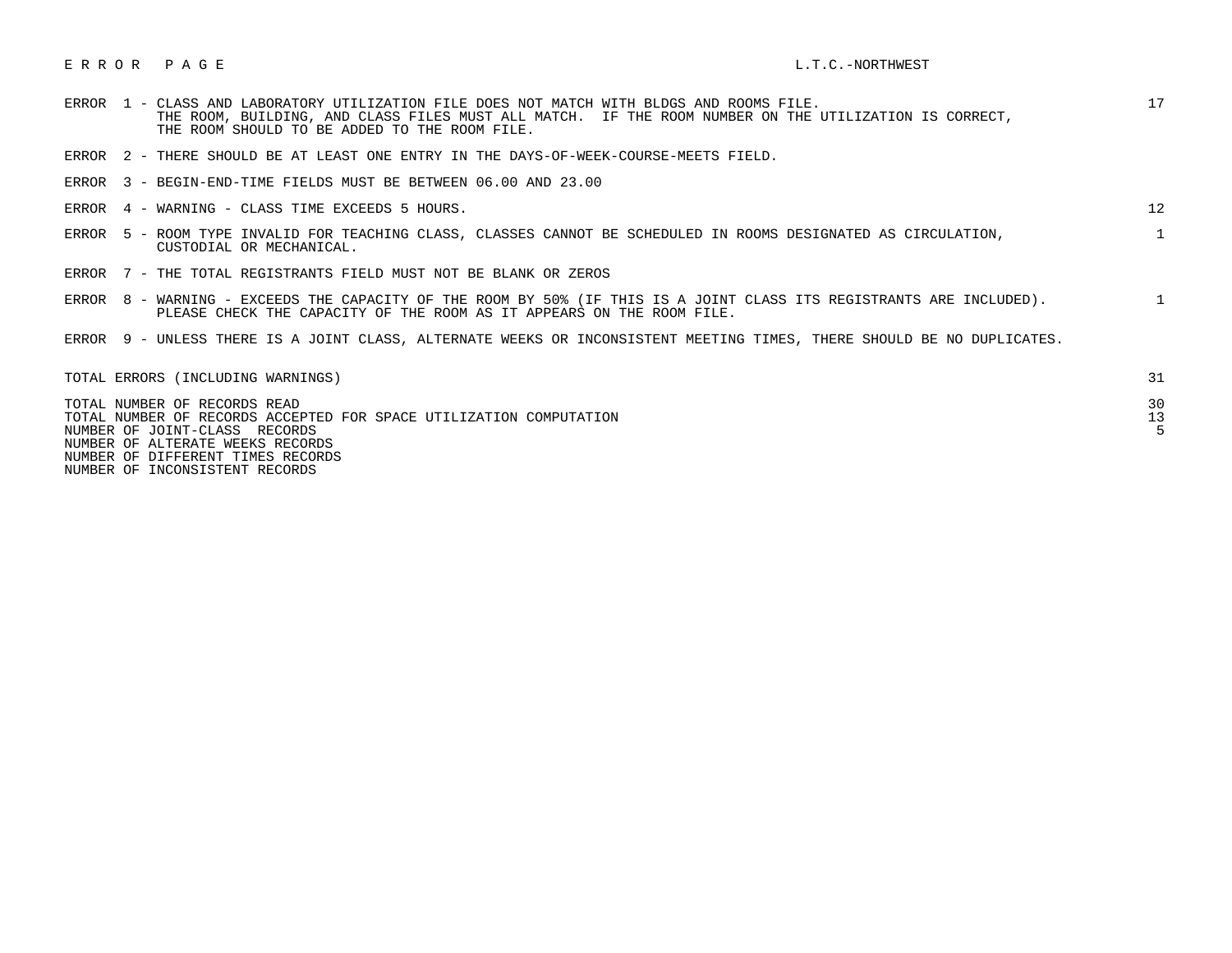## E R R O R P A G E L.T.C.-NORTHWEST

| ERROR | 1 - CLASS AND LABORATORY UTILIZATION FILE DOES NOT MATCH WITH BLDGS AND ROOMS FILE.<br>THE ROOM, BUILDING, AND CLASS FILES MUST ALL MATCH. IF THE ROOM NUMBER ON THE UTILIZATION IS CORRECT,<br>THE ROOM SHOULD TO BE ADDED TO THE ROOM FILE. | 17           |
|-------|-----------------------------------------------------------------------------------------------------------------------------------------------------------------------------------------------------------------------------------------------|--------------|
|       | ERROR 2 - THERE SHOULD BE AT LEAST ONE ENTRY IN THE DAYS-OF-WEEK-COURSE-MEETS FIELD.                                                                                                                                                          |              |
|       | ERROR 3 - BEGIN-END-TIME FIELDS MUST BE BETWEEN 06.00 AND 23.00                                                                                                                                                                               |              |
|       | ERROR 4 - WARNING - CLASS TIME EXCEEDS 5 HOURS.                                                                                                                                                                                               | 12           |
| ERROR | 5 - ROOM TYPE INVALID FOR TEACHING CLASS, CLASSES CANNOT BE SCHEDULED IN ROOMS DESIGNATED AS CIRCULATION,<br>CUSTODIAL OR MECHANICAL.                                                                                                         | $\mathbf{1}$ |
|       | ERROR 7 - THE TOTAL REGISTRANTS FIELD MUST NOT BE BLANK OR ZEROS                                                                                                                                                                              |              |
| ERROR | 8 - WARNING - EXCEEDS THE CAPACITY OF THE ROOM BY 50% (IF THIS IS A JOINT CLASS ITS REGISTRANTS ARE INCLUDED).<br>PLEASE CHECK THE CAPACITY OF THE ROOM AS IT APPEARS ON THE ROOM FILE.                                                       | $\mathbf{1}$ |
|       | ERROR 9 - UNLESS THERE IS A JOINT CLASS, ALTERNATE WEEKS OR INCONSISTENT MEETING TIMES, THERE SHOULD BE NO DUPLICATES.                                                                                                                        |              |
|       | TOTAL ERRORS (INCLUDING WARNINGS)                                                                                                                                                                                                             | 31           |
|       | TOTAL NUMBER OF RECORDS READ<br>TOTAL NUMBER OF RECORDS ACCEPTED FOR SPACE UTILIZATION COMPUTATION<br>NUMBER OF JOINT-CLASS RECORDS<br>NUMBER OF ALTERATE WEEKS RECORDS                                                                       | 30<br>13     |

NUMBER OF DIFFERENT TIMES RECORDS

NUMBER OF INCONSISTENT RECORDS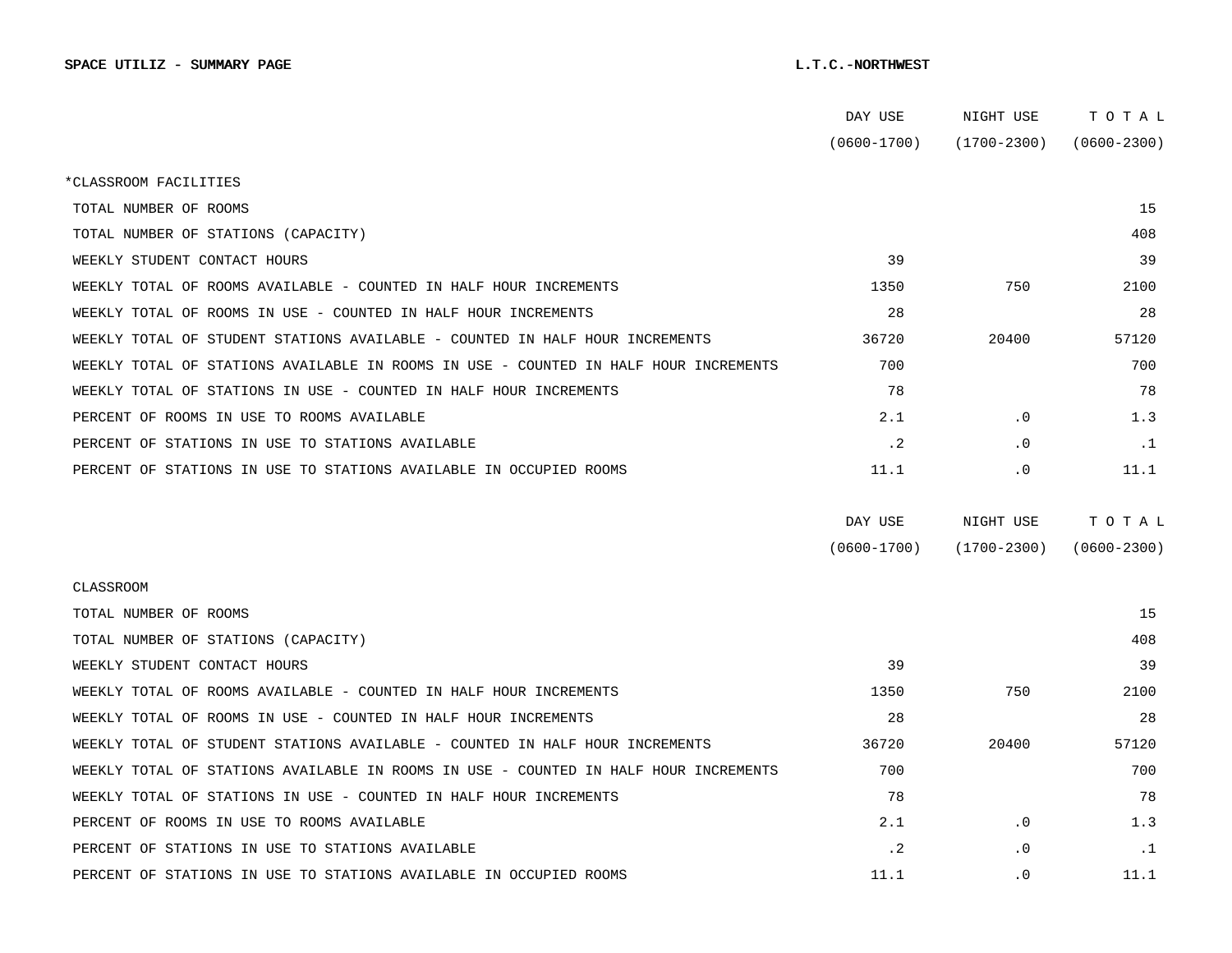|                                                                                      | DAY USE         | NIGHT USE       | TOTAL           |
|--------------------------------------------------------------------------------------|-----------------|-----------------|-----------------|
|                                                                                      | $(0600 - 1700)$ | $(1700 - 2300)$ | $(0600 - 2300)$ |
| *CLASSROOM FACILITIES                                                                |                 |                 |                 |
| TOTAL NUMBER OF ROOMS                                                                |                 |                 | 15              |
| TOTAL NUMBER OF STATIONS (CAPACITY)                                                  |                 |                 | 408             |
| WEEKLY STUDENT CONTACT HOURS                                                         | 39              |                 | 39              |
| WEEKLY TOTAL OF ROOMS AVAILABLE - COUNTED IN HALF HOUR INCREMENTS                    | 1350            | 750             | 2100            |
| WEEKLY TOTAL OF ROOMS IN USE - COUNTED IN HALF HOUR INCREMENTS                       | 28              |                 | 28              |
| WEEKLY TOTAL OF STUDENT STATIONS AVAILABLE - COUNTED IN HALF HOUR INCREMENTS         | 36720           | 20400           | 57120           |
| WEEKLY TOTAL OF STATIONS AVAILABLE IN ROOMS IN USE - COUNTED IN HALF HOUR INCREMENTS | 700             |                 | 700             |
| WEEKLY TOTAL OF STATIONS IN USE - COUNTED IN HALF HOUR INCREMENTS                    | 78              |                 | 78              |
| PERCENT OF ROOMS IN USE TO ROOMS AVAILABLE                                           | 2.1             | $\cdot$ 0       | 1.3             |
| PERCENT OF STATIONS IN USE TO STATIONS AVAILABLE                                     | $\cdot$ 2       | . 0             | $\cdot$ 1       |
| PERCENT OF STATIONS IN USE TO STATIONS AVAILABLE IN OCCUPIED ROOMS                   | 11.1            | . 0             | 11.1            |
|                                                                                      |                 |                 |                 |
|                                                                                      | DAY USE         | NIGHT USE       | TOTAL           |
|                                                                                      | $(0600 - 1700)$ | $(1700 - 2300)$ | $(0600 - 2300)$ |
|                                                                                      |                 |                 |                 |
| <b>CLASSROOM</b>                                                                     |                 |                 |                 |
| TOTAL NUMBER OF ROOMS                                                                |                 |                 | 15              |
| TOTAL NUMBER OF STATIONS (CAPACITY)                                                  |                 |                 | 408             |
| WEEKLY STUDENT CONTACT HOURS                                                         | 39              |                 | 39              |
| WEEKLY TOTAL OF ROOMS AVAILABLE - COUNTED IN HALF HOUR INCREMENTS                    | 1350            | 750             | 2100            |
| WEEKLY TOTAL OF ROOMS IN USE - COUNTED IN HALF HOUR INCREMENTS                       | 28              |                 | 28              |
| WEEKLY TOTAL OF STUDENT STATIONS AVAILABLE - COUNTED IN HALF HOUR INCREMENTS         | 36720           | 20400           | 57120           |
| WEEKLY TOTAL OF STATIONS AVAILABLE IN ROOMS IN USE - COUNTED IN HALF HOUR INCREMENTS | 700             |                 | 700             |
| WEEKLY TOTAL OF STATIONS IN USE - COUNTED IN HALF HOUR INCREMENTS                    | 78              |                 | 78              |
| PERCENT OF ROOMS IN USE TO ROOMS AVAILABLE                                           | 2.1             | $\cdot$ 0       | 1.3             |
| PERCENT OF STATIONS IN USE TO STATIONS AVAILABLE                                     | $\cdot$ 2       | . 0             | .1              |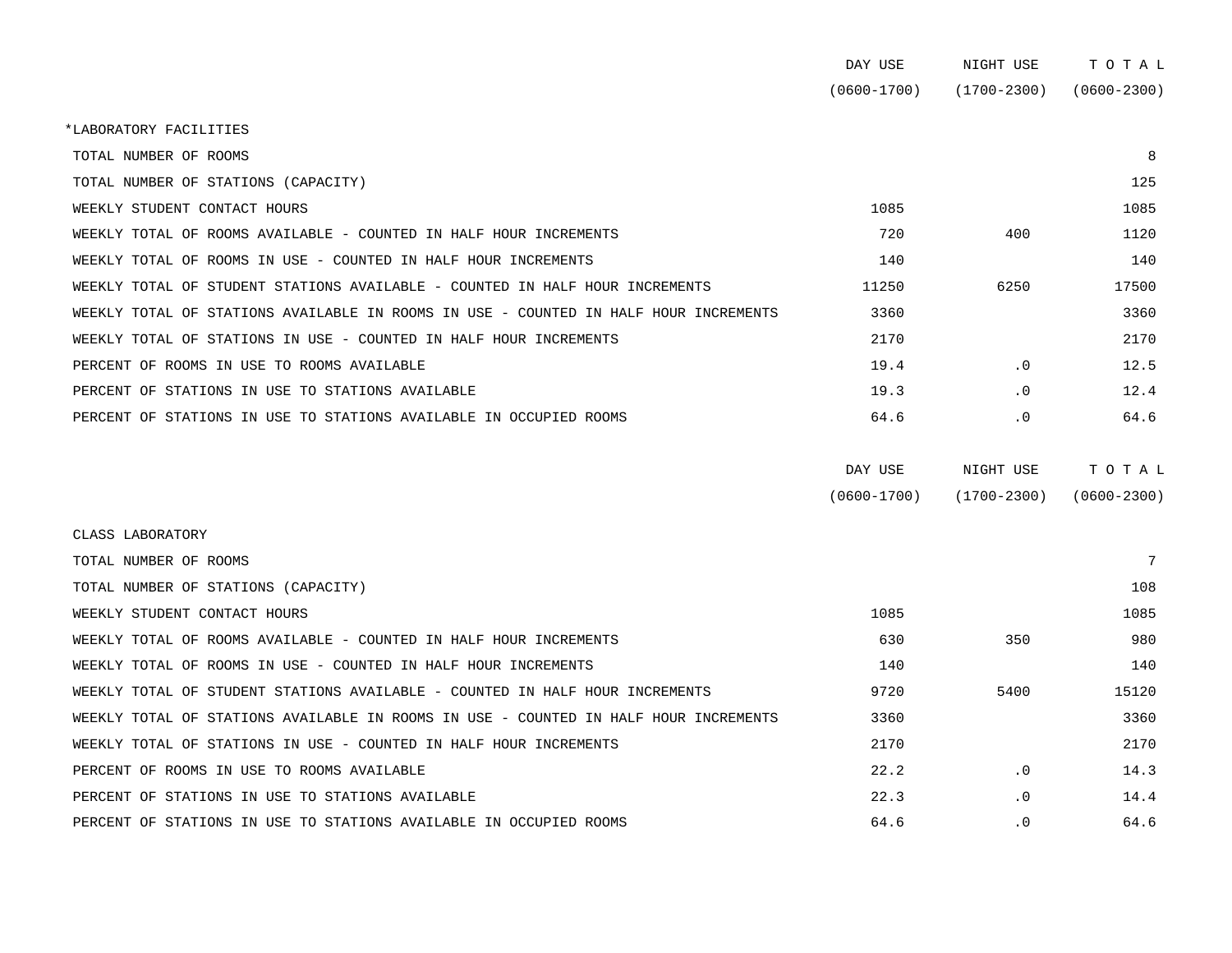|                                                                                      | DAY USE         | NIGHT USE   | TOTAL           |  |
|--------------------------------------------------------------------------------------|-----------------|-------------|-----------------|--|
|                                                                                      | $(0600 - 1700)$ | (1700-2300) | $(0600 - 2300)$ |  |
|                                                                                      |                 |             |                 |  |
| *LABORATORY FACILITIES                                                               |                 |             |                 |  |
| TOTAL NUMBER OF ROOMS                                                                |                 |             | 8               |  |
| TOTAL NUMBER OF STATIONS (CAPACITY)                                                  |                 |             | 125             |  |
| WEEKLY STUDENT CONTACT HOURS                                                         | 1085            |             | 1085            |  |
| WEEKLY TOTAL OF ROOMS AVAILABLE - COUNTED IN HALF HOUR INCREMENTS                    | 720             | 400         | 1120            |  |
| WEEKLY TOTAL OF ROOMS IN USE - COUNTED IN HALF HOUR INCREMENTS                       | 140             |             | 140             |  |
| WEEKLY TOTAL OF STUDENT STATIONS AVAILABLE - COUNTED IN HALF HOUR INCREMENTS         | 11250           | 6250        | 17500           |  |
| WEEKLY TOTAL OF STATIONS AVAILABLE IN ROOMS IN USE - COUNTED IN HALF HOUR INCREMENTS | 3360            |             | 3360            |  |
| WEEKLY TOTAL OF STATIONS IN USE - COUNTED IN HALF HOUR INCREMENTS                    | 2170            |             | 2170            |  |
| PERCENT OF ROOMS IN USE TO ROOMS AVAILABLE                                           | 19.4            | $\cdot$ 0   | 12.5            |  |
| PERCENT OF STATIONS IN USE TO STATIONS AVAILABLE                                     | 19.3            | .0          | 12.4            |  |
| PERCENT OF STATIONS IN USE TO STATIONS AVAILABLE IN OCCUPIED ROOMS                   | 64.6            | $\cdot$ 0   | 64.6            |  |

| DAY USE         | NIGHT USE       | тотаь           |
|-----------------|-----------------|-----------------|
| $(0600 - 1700)$ | $(1700 - 2300)$ | $(0600 - 2300)$ |

| CLASS LABORATORY                                                                     |      |           |       |
|--------------------------------------------------------------------------------------|------|-----------|-------|
| TOTAL NUMBER OF ROOMS                                                                |      |           |       |
| TOTAL NUMBER OF STATIONS (CAPACITY)                                                  |      |           | 108   |
| WEEKLY STUDENT CONTACT HOURS                                                         | 1085 |           | 1085  |
| WEEKLY TOTAL OF ROOMS AVAILABLE - COUNTED IN HALF HOUR INCREMENTS                    | 630  | 350       | 980   |
| WEEKLY TOTAL OF ROOMS IN USE - COUNTED IN HALF HOUR INCREMENTS                       | 140  |           | 140   |
| WEEKLY TOTAL OF STUDENT STATIONS AVAILABLE - COUNTED IN HALF HOUR INCREMENTS         | 9720 | 5400      | 15120 |
| WEEKLY TOTAL OF STATIONS AVAILABLE IN ROOMS IN USE - COUNTED IN HALF HOUR INCREMENTS | 3360 |           | 3360  |
| WEEKLY TOTAL OF STATIONS IN USE - COUNTED IN HALF HOUR INCREMENTS                    | 2170 |           | 2170  |
| PERCENT OF ROOMS IN USE TO ROOMS AVAILABLE                                           | 22.2 | $\cdot$ 0 | 14.3  |
| PERCENT OF STATIONS IN USE TO STATIONS AVAILABLE                                     | 22.3 | $\cdot$ 0 | 14.4  |
| PERCENT OF STATIONS IN USE TO STATIONS AVAILABLE IN OCCUPIED ROOMS                   | 64.6 | $\cdot$ 0 | 64.6  |